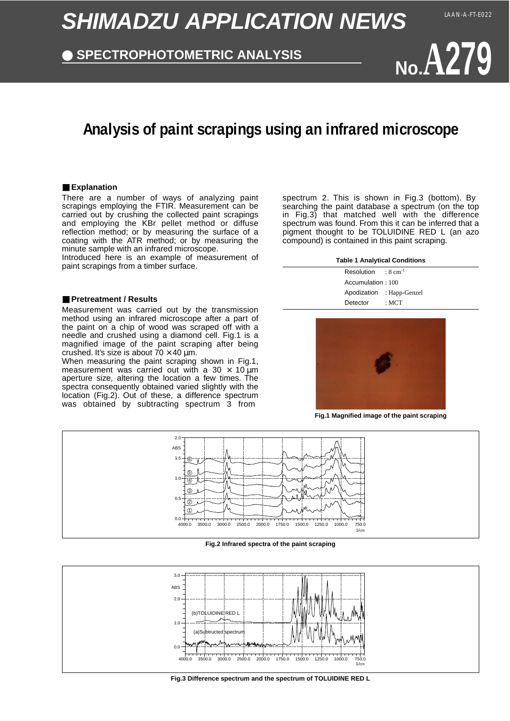# **SHIMADZU APPLICATION NEWS**

### **SPECTROPHOTOMETRIC ANALYSIS**

**No.A279**

## **Analysis of paint scrapings using an infrared microscope**

#### ■ **Explanation**

There are a number of ways of analyzing paint scrapings employing the FTIR. Measurement can be carried out by crushing the collected paint scrapings and employing the KBr pellet method or diffuse reflection method; or by measuring the surface of a coating with the ATR method; or by measuring the minute sample with an infrared microscope.

Introduced here is an example of measurement of paint scrapings from a timber surface.

#### ■ **Pretreatment / Results**

Measurement was carried out by the transmission method using an infrared microscope after a part of the paint on a chip of wood was scraped off with a needle and crushed using a diamond cell. Fig.1 is a magnified image of the paint scraping after being crushed. It's size is about  $70 \times 40$  µm.

When measuring the paint scraping shown in Fig.1, measurement was carried out with a 30  $\times$  10  $\mu$ m aperture size, altering the location a few times. The spectra consequently obtained varied slightly with the location (Fig.2). Out of these, a difference spectrum was obtained by subtracting spectrum 3 from

spectrum 2. This is shown in Fig.3 (bottom). By searching the paint database a spectrum (on the top in Fig.3) that matched well with the difference spectrum was found. From this it can be inferred that a pigment thought to be TOLUIDINE RED L (an azo compound) is contained in this paint scraping.

#### **Table 1 Analytical Conditions**

Resolution Accumulation : 100 Apodization : Happ-Genzel Detector : 8 cm-1 : MCT



**Fig.1 Magnified image of the paint scraping**



**Fig.2 Infrared spectra of the paint scraping**



**Fig.3 Difference spectrum and the spectrum of TOLUIDINE RED L**